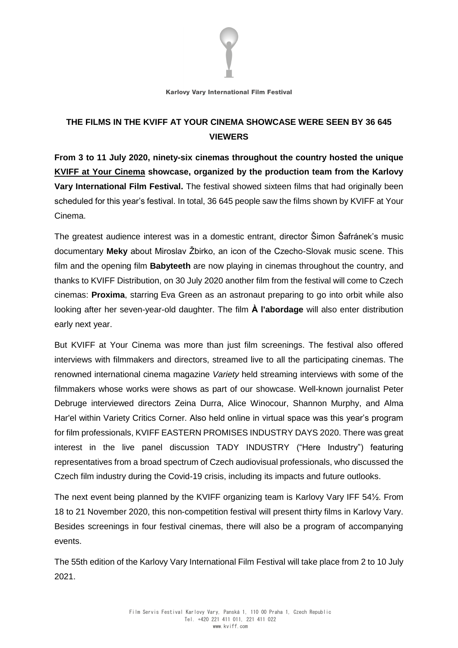

**Karlovy Vary International Film Festival** 

## **THE FILMS IN THE KVIFF AT YOUR CINEMA SHOWCASE WERE SEEN BY 36 645 VIEWERS**

**From 3 to 11 July 2020, ninety-six cinemas throughout the country hosted the unique KVIFF at Your Cinema showcase, organized by the production team from the Karlovy Vary International Film Festival.** The festival showed sixteen films that had originally been scheduled for this year's festival. In total, 36 645 people saw the films shown by KVIFF at Your Cinema.

The greatest audience interest was in a domestic entrant, director Šimon Šafránek's music documentary **Meky** about Miroslav Žbirko, an icon of the Czecho-Slovak music scene. This film and the opening film **Babyteeth** are now playing in cinemas throughout the country, and thanks to KVIFF Distribution, on 30 July 2020 another film from the festival will come to Czech cinemas: **Proxima**, starring Eva Green as an astronaut preparing to go into orbit while also looking after her seven-year-old daughter. The film **À l'abordage** will also enter distribution early next year.

But KVIFF at Your Cinema was more than just film screenings. The festival also offered interviews with filmmakers and directors, streamed live to all the participating cinemas. The renowned international cinema magazine *Variety* held streaming interviews with some of the filmmakers whose works were shows as part of our showcase. Well-known journalist Peter Debruge interviewed directors Zeina Durra, Alice Winocour, Shannon Murphy, and Alma Har'el within Variety Critics Corner. Also held online in virtual space was this year's program for film professionals, KVIFF EASTERN PROMISES INDUSTRY DAYS 2020. There was great interest in the live panel discussion TADY INDUSTRY ("Here Industry") featuring representatives from a broad spectrum of Czech audiovisual professionals, who discussed the Czech film industry during the Covid-19 crisis, including its impacts and future outlooks.

The next event being planned by the KVIFF organizing team is Karlovy Vary IFF 54½. From 18 to 21 November 2020, this non-competition festival will present thirty films in Karlovy Vary. Besides screenings in four festival cinemas, there will also be a program of accompanying events.

The 55th edition of the Karlovy Vary International Film Festival will take place from 2 to 10 July 2021.